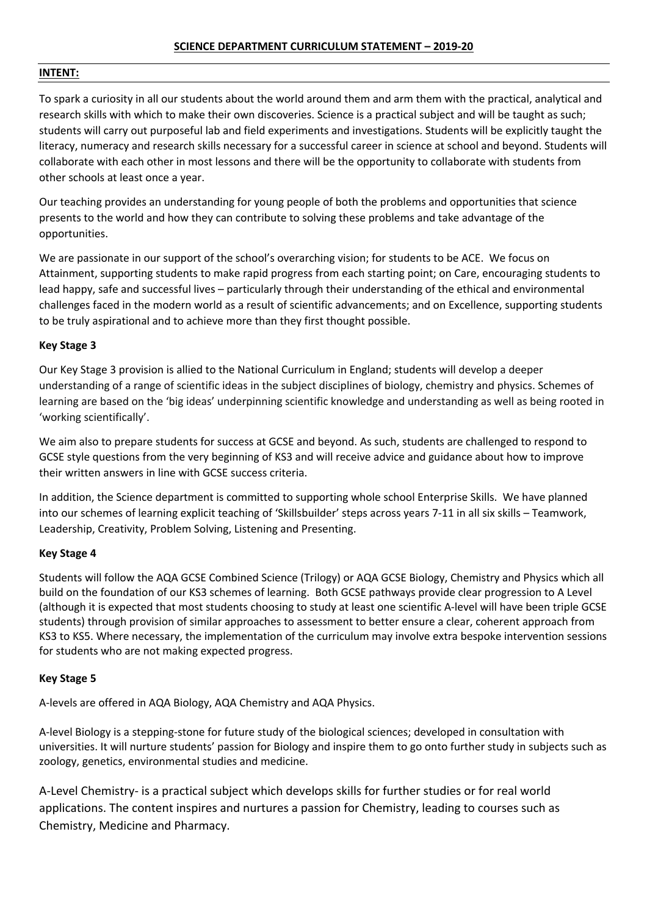# **INTENT:**

To spark a curiosity in all our students about the world around them and arm them with the practical, analytical and research skills with which to make their own discoveries. Science is a practical subject and will be taught as such; students will carry out purposeful lab and field experiments and investigations. Students will be explicitly taught the literacy, numeracy and research skills necessary for a successful career in science at school and beyond. Students will collaborate with each other in most lessons and there will be the opportunity to collaborate with students from other schools at least once a year.

Our teaching provides an understanding for young people of both the problems and opportunities that science presents to the world and how they can contribute to solving these problems and take advantage of the opportunities.

We are passionate in our support of the school's overarching vision; for students to be ACE. We focus on Attainment, supporting students to make rapid progress from each starting point; on Care, encouraging students to lead happy, safe and successful lives – particularly through their understanding of the ethical and environmental challenges faced in the modern world as a result of scientific advancements; and on Excellence, supporting students to be truly aspirational and to achieve more than they first thought possible.

# **Key Stage 3**

Our Key Stage 3 provision is allied to the National Curriculum in England; students will develop a deeper understanding of a range of scientific ideas in the subject disciplines of biology, chemistry and physics. Schemes of learning are based on the 'big ideas' underpinning scientific knowledge and understanding as well as being rooted in 'working scientifically'.

We aim also to prepare students for success at GCSE and beyond. As such, students are challenged to respond to GCSE style questions from the very beginning of KS3 and will receive advice and guidance about how to improve their written answers in line with GCSE success criteria.

In addition, the Science department is committed to supporting whole school Enterprise Skills. We have planned into our schemes of learning explicit teaching of 'Skillsbuilder' steps across years 7-11 in all six skills – Teamwork, Leadership, Creativity, Problem Solving, Listening and Presenting.

# **Key Stage 4**

Students will follow the AQA GCSE Combined Science (Trilogy) or AQA GCSE Biology, Chemistry and Physics which all build on the foundation of our KS3 schemes of learning. Both GCSE pathways provide clear progression to A Level (although it is expected that most students choosing to study at least one scientific A-level will have been triple GCSE students) through provision of similar approaches to assessment to better ensure a clear, coherent approach from KS3 to KS5. Where necessary, the implementation of the curriculum may involve extra bespoke intervention sessions for students who are not making expected progress.

# **Key Stage 5**

A-levels are offered in AQA Biology, AQA Chemistry and AQA Physics.

A-level Biology is a stepping-stone for future study of the biological sciences; developed in consultation with universities. It will nurture students' passion for Biology and inspire them to go onto further study in subjects such as zoology, genetics, environmental studies and medicine.

A-Level Chemistry- is a practical subject which develops skills for further studies or for real world applications. The content inspires and nurtures a passion for Chemistry, leading to courses such as Chemistry, Medicine and Pharmacy.